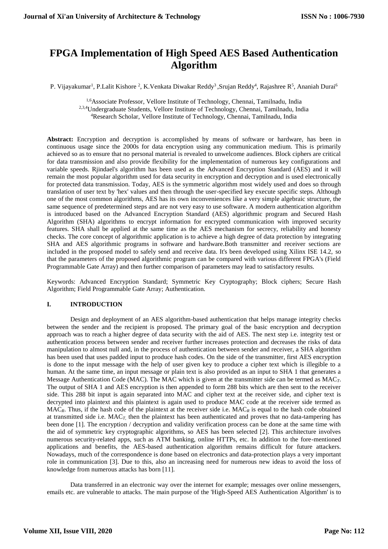# **FPGA Implementation of High Speed AES Based Authentication Algorithm**

P. Vijayakumar<sup>1</sup>, P.Lalit Kishore <sup>2</sup>, K.Venkata Diwakar Reddy<sup>3</sup>,Srujan Reddy<sup>4</sup>, Rajashree R<sup>5</sup>, Ananiah Durai<sup>6</sup>

1,6Associate Professor, Vellore Institute of Technology, Chennai, Tamilnadu, India

2,3,4Undergraduate Students, Vellore Institute of Technology, Chennai, Tamilnadu, India

<sup>4</sup>Research Scholar, Vellore Institute of Technology, Chennai, Tamilnadu, India

**Abstract:** Encryption and decryption is accomplished by means of software or hardware, has been in continuous usage since the 2000s for data encryption using any communication medium. This is primarily achieved so as to ensure that no personal material is revealed to unwelcome audiences. Block ciphers are critical for data transmission and also provide flexibility for the implementation of numerous key configurations and variable speeds. Rjindael's algorithm has been used as the Advanced Encryption Standard (AES) and it will remain the most popular algorithm used for data security in encryption and decryption and is used electronically for protected data transmission. Today, AES is the symmetric algorithm most widely used and does so through translation of user text by 'hex' values and then through the user-specified key execute specific steps. Although one of the most common algorithms, AES has its own inconveniences like a very simple algebraic structure, the same sequence of predetermined steps and are not very easy to use software. A modern authentication algorithm is introduced based on the Advanced Encryption Standard (AES) algorithmic program and Secured Hash Algorithm (SHA) algorithms to encrypt information for encrypted communication with improved security features. SHA shall be applied at the same time as the AES mechanism for secrecy, reliability and honesty checks. The core concept of algorithmic application is to achieve a high degree of data protection by integrating SHA and AES algorithmic programs in software and hardware.Both transmitter and receiver sections are included in the proposed model to safely send and receive data. It's been developed using Xilinx ISE 14.2, so that the parameters of the proposed algorithmic program can be compared with various different FPGA's (Field Programmable Gate Array) and then further comparison of parameters may lead to satisfactory results.

Keywords: Advanced Encryption Standard; Symmetric Key Cryptography; Block ciphers; Secure Hash Algorithm; Field Programmable Gate Array; Authentication.

# **I. INTRODUCTION**

Design and deployment of an AES algorithm-based authentication that helps manage integrity checks between the sender and the recipient is proposed. The primary goal of the basic encryption and decryption approach was to reach a higher degree of data security with the aid of AES. The next step i.e. integrity test or authentication process between sender and receiver further increases protection and decreases the risks of data manipulation to almost null and, in the process of authentication between sender and receiver, a SHA algorithm has been used that uses padded input to produce hash codes. On the side of the transmitter, first AES encryption is done to the input message with the help of user given key to produce a cipher text which is illegible to a human. At the same time, an input message or plain text is also provided as an input to SHA 1 that generates a Message Authentication Code (MAC). The MAC which is given at the transmitter side can be termed as MAC*T*. The output of SHA 1 and AES encryption is then appended to form 288 bits which are then sent to the receiver side. This 288 bit input is again separated into MAC and cipher text at the receiver side, and cipher text is decrypted into plaintext and this plaintext is again used to produce MAC code at the receiver side termed as MAC*R*. Thus, if the hash code of the plaintext at the receiver side i.e. MAC*<sup>R</sup>* is equal to the hash code obtained at transmitted side i.e. MAC*T,* then the plaintext has been authenticated and proves that no data-tampering has been done [1]. The encryption / decryption and validity verification process can be done at the same time with the aid of symmetric key cryptographic algorithms, so AES has been selected [2]. This architecture involves numerous security-related apps, such as ATM banking, online HTTPs, etc. In addition to the fore-mentioned applications and benefits, the AES-based authentication algorithm remains difficult for future attackers. Nowadays, much of the correspondence is done based on electronics and data-protection plays a very important role in communication [3]. Due to this, also an increasing need for numerous new ideas to avoid the loss of knowledge from numerous attacks has born [11].

Data transferred in an electronic way over the internet for example; messages over online messengers, emails etc. are vulnerable to attacks. The main purpose of the 'High-Speed AES Authentication Algorithm' is to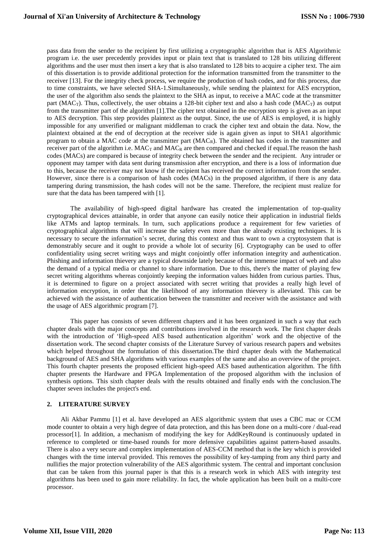pass data from the sender to the recipient by first utilizing a cryptographic algorithm that is AES Algorithmic program i.e. the user precedently provides input or plain text that is translated to 128 bits utilizing different algorithms and the user must then insert a key that is also translated to 128 bits to acquire a cipher text. The aim of this dissertation is to provide additional protection for the information transmitted from the transmitter to the receiver [13]. For the integrity check process, we require the production of hash codes, and for this process, due to time constraints, we have selected SHA-1.Simultaneously, while sending the plaintext for AES encryption, the user of the algorithm also sends the plaintext to the SHA as input, to receive a MAC code at the transmitter part (MAC<sub>T</sub>). Thus, collectively, the user obtains a 128-bit cipher text and also a hash code (MAC<sub>T</sub>) as output from the transmitter part of the algorithm [1].The cipher text obtained in the encryption step is given as an input to AES decryption. This step provides plaintext as the output. Since, the use of AES is employed, it is highly impossible for any unverified or malignant middleman to crack the cipher text and obtain the data. Now, the plaintext obtained at the end of decryption at the receiver side is again given as input to SHA1 algorithmic program to obtain a MAC code at the transmitter part  $(MAC_R)$ . The obtained has codes in the transmitter and receiver part of the algorithm i.e.  $MAC_T$  and  $MAC_R$  are then compared and checked if equal. The reason the hash codes (MACs) are compared is because of integrity check between the sender and the recipient. Any intruder or opponent may tamper with data sent during transmission after encryption, and there is a loss of information due to this, because the receiver may not know if the recipient has received the correct information from the sender. However, since there is a comparison of hash codes (MACs) in the proposed algorithm, if there is any data tampering during transmission, the hash codes will not be the same. Therefore, the recipient must realize for sure that the data has been tampered with [1].

The availability of high-speed digital hardware has created the implementation of top-quality cryptographical devices attainable, in order that anyone can easily notice their application in industrial fields like ATMs and laptop terminals. In turn, such applications produce a requirement for few varieties of cryptographical algorithms that will increase the safety even more than the already existing techniques. It is necessary to secure the information's secret, during this context and thus want to own a cryptosystem that is demonstrably secure and it ought to provide a whole lot of security [6]. Cryptography can be used to offer confidentiality using secret writing ways and might conjointly offer information integrity and authentication. Phishing and information thievery are a typical downside lately because of the immense impact of web and also the demand of a typical media or channel to share information. Due to this, there's the matter of playing few secret writing algorithms whereas conjointly keeping the information values hidden from curious parties. Thus, it is determined to figure on a project associated with secret writing that provides a really high level of information encryption, in order that the likelihood of any information thievery is alleviated. This can be achieved with the assistance of authentication between the transmitter and receiver with the assistance and with the usage of AES algorithmic program [7].

This paper has consists of seven different chapters and it has been organized in such a way that each chapter deals with the major concepts and contributions involved in the research work. The first chapter deals with the introduction of 'High-speed AES based authentication algorithm' work and the objective of the dissertation work. The second chapter consists of the Literature Survey of various research papers and websites which helped throughout the formulation of this dissertation.The third chapter deals with the Mathematical background of AES and SHA algorithms with various examples of the same and also an overview of the project. This fourth chapter presents the proposed efficient high-speed AES based authentication algorithm. The fifth chapter presents the Hardware and FPGA Implementation of the proposed algorithm with the inclusion of synthesis options. This sixth chapter deals with the results obtained and finally ends with the conclusion.The chapter seven includes the project's end.

# **2. LITERATURE SURVEY**

Ali Akbar Pammu [1] et al. have developed an AES algorithmic system that uses a CBC mac or CCM mode counter to obtain a very high degree of data protection, and this has been done on a multi-core / dual-read processor[1]. In addition, a mechanism of modifying the key for AddKeyRound is continuously updated in reference to completed or time-based rounds for more defensive capabilities against pattern-based assaults. There is also a very secure and complex implementation of AES-CCM method that is the key which is provided changes with the time interval provided. This removes the possibility of key-tamping from any third party and nullifies the major protection vulnerability of the AES algorithmic system. The central and important conclusion that can be taken from this journal paper is that this is a research work in which AES with integrity test algorithms has been used to gain more reliability. In fact, the whole application has been built on a multi-core processor.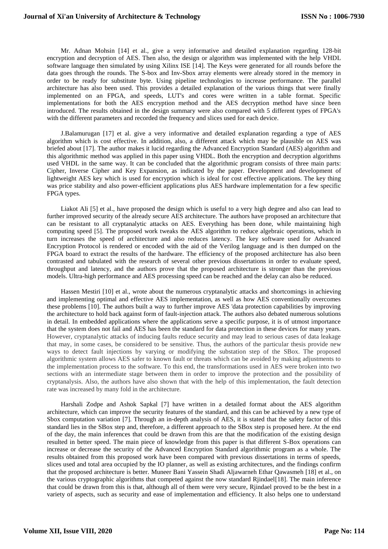Mr. Adnan Mohsin [14] et al., give a very informative and detailed explanation regarding 128-bit encryption and decryption of AES. Then also, the design or algorithm was implemented with the help VHDL software language then simulated by using Xilinx ISE [14]. The Keys were generated for all rounds before the data goes through the rounds. The S-box and Inv-Sbox array elements were already stored in the memory in order to be ready for substitute byte. Using pipeline technologies to increase performance. The parallel architecture has also been used. This provides a detailed explanation of the various things that were finally implemented on an FPGA, and speeds, LUT's and cores were written in a table format. Specific implementations for both the AES encryption method and the AES decryption method have since been introduced. The results obtained in the design summary were also compared with 5 different types of FPGA's with the different parameters and recorded the frequency and slices used for each device.

J.Balamurugan [17] et al. give a very informative and detailed explanation regarding a type of AES algorithm which is cost effective. In addition, also, a different attack which may be plausible on AES was briefed about [17]. The author makes it lucid regarding the Advanced Encryption Standard (AES) algorithm and this algorithmic method was applied in this paper using VHDL. Both the encryption and decryption algorithms used VHDL in the same way. It can be concluded that the algorithmic program consists of three main parts: Cipher, Inverse Cipher and Key Expansion, as indicated by the paper. Development and development of lightweight AES key which is used for encryption which is ideal for cost effective applications. The key thing was price stability and also power-efficient applications plus AES hardware implementation for a few specific FPGA types.

Liakot Ali [5] et al., have proposed the design which is useful to a very high degree and also can lead to further improved security of the already secure AES architecture. The authors have proposed an architecture that can be resistant to all cryptanalytic attacks on AES. Everything has been done, while maintaining high computing speed [5]. The proposed work tweaks the AES algorithm to reduce algebraic operations, which in turn increases the speed of architecture and also reduces latency. The key software used for Advanced Encryption Protocol is rendered or encoded with the aid of the Verilog language and is then dumped on the FPGA board to extract the results of the hardware. The efficiency of the proposed architecture has also been contrasted and tabulated with the research of several other previous dissertations in order to evaluate speed, throughput and latency, and the authors prove that the proposed architecture is stronger than the previous models. Ultra-high performance and AES processing speed can be reached and the delay can also be reduced.

Hassen Mestiri [10] et al., wrote about the numerous cryptanalytic attacks and shortcomings in achieving and implementing optimal and effective AES implementation, as well as how AES conventionally overcomes these problems [10]. The authors built a way to further improve AES 'data protection capabilities by improving the architecture to hold back against form of fault-injection attack. The authors also debated numerous solutions in detail. In embedded applications where the applications serve a specific purpose, it is of utmost importance that the system does not fail and AES has been the standard for data protection in these devices for many years. However, cryptanalytic attacks of inducing faults reduce security and may lead to serious cases of data leakage that may, in some cases, be considered to be sensitive. Thus, the authors of the particular thesis provide new ways to detect fault injections by varying or modifying the substation step of the SBox. The proposed algorithmic system allows AES safer to known fault or threats which can be avoided by making adjustments to the implementation process to the software. To this end, the transformations used in AES were broken into two sections with an intermediate stage between them in order to improve the protection and the possibility of cryptanalysis. Also, the authors have also shown that with the help of this implementation, the fault detection rate was increased by many fold in the architecture.

Harshali Zodpe and Ashok Sapkal [7] have written in a detailed format about the AES algorithm architecture, which can improve the security features of the standard, and this can be achieved by a new type of Sbox computation variation [7]. Through an in-depth analysis of AES, it is stated that the safety factor of this standard lies in the SBox step and, therefore, a different approach to the SBox step is proposed here. At the end of the day, the main inferences that could be drawn from this are that the modification of the existing design resulted in better speed. The main piece of knowledge from this paper is that different S-Box operations can increase or decrease the security of the Advanced Encryption Standard algorithmic program as a whole. The results obtained from this proposed work have been compared with previous dissertations in terms of speeds, slices used and total area occupied by the IO planner, as well as existing architectures, and the findings confirm that the proposed architecture is better. Muneer Bani Yassein Shadi Aljawarneh Ethar Qawasmeh [18] et al., on the various cryptographic algorithms that competed against the now standard Rjindael[18]. The main inference that could be drawn from this is that, although all of them were very secure, Rjindael proved to be the best in a variety of aspects, such as security and ease of implementation and efficiency. It also helps one to understand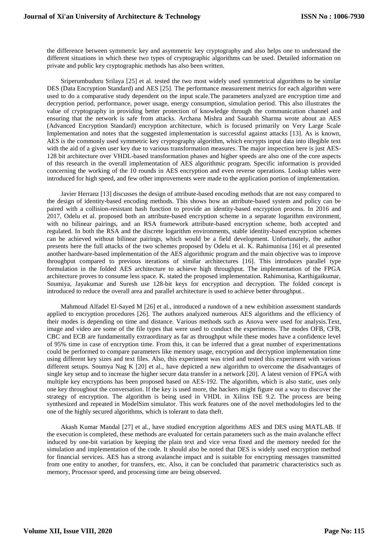the difference between symmetric key and asymmetric key cryptography and also helps one to understand the different situations in which these two types of cryptographic algorithms can be used. Detailed information on private and public key cryptographic methods has also been written.

Sriperumbuduru Srilaya [25] et al. tested the two most widely used symmetrical algorithms to be similar DES (Data Encryption Standard) and AES [25]. The performance measurement metrics for each algorithm were used to do a comparative study dependent on the input scale.The parameters analyzed are encryption time and decryption period, performance, power usage, energy consumption, simulation period. This also illustrates the value of cryptography in providing better protection of knowledge through the communication channel and ensuring that the network is safe from attacks. Archana Mishra and Saurabh Sharma wrote about an AES (Advanced Encryption Standard) encryption architecture, which is focused primarily on Very Large Scale Implementation and notes that the suggested implementation is successful against attacks [13]. As is known, AES is the commonly used symmetric key cryptography algorithm, which encrypts input data into illegible text with the aid of a given user key due to various transformation measures. The major inspection here is just AES-128 bit architecture over VHDL-based transformation phases and higher speeds are also one of the core aspects of this research in the overall implementation of AES algorithmic program. Specific information is provided concerning the working of the 10 rounds in AES encryption and even reverse operations. Lookup tables were introduced for high speed, and few other improvements were made to the application portion of implementation.

Javier Herranz [13] discusses the design of attribute-based encoding methods that are not easy compared to the design of identity-based encoding methods. This shows how an attribute-based system and policy can be paired with a collision-resistant hash function to provide an identity-based encryption process. In 2016 and 2017, Odelu et al. proposed both an attribute-based encryption scheme in a separate logarithm environment, with no bilinear pairings, and an RSA framework attribute-based encryption scheme, both accepted and regulated. In both the RSA and the discrete logarithm environments, stable identity-based encryption schemes can be achieved without bilinear pairings, which would be a field development. Unfortunately, the author presents here the full attacks of the two schemes proposed by Odelu et al. K. Rahimunisa [16] et al presented another hardware-based implementation of the AES algorithmic program and the main objective was to improve throughput compared to previous iterations of similar architectures [16]. This introduces parallel type formulation in the folded AES architecture to achieve high throughput. The implementation of the FPGA architecture proves to consume less space. K. stated the proposed implementation. Rahimunisa, Karthigaikumar, Soumiya, Jayakumar and Suresh use 128-bit keys for encryption and decryption. The folded concept is introduced to reduce the overall area and parallel architecture is used to achieve better throughput..

Mahmoud Alfadel El-Sayed M [26] et al., introduced a rundown of a new exhibition assessment standards applied to encryption procedures [26]. The authors analyzed numerous AES algorithms and the efficiency of their modes is depending on time and distance. Various methods such as Anova were used for analysis.Text, image and video are some of the file types that were used to conduct the experiments. The modes OFB, CFB, CBC and ECB are fundamentally extraordinary as far as throughput while these modes have a confidence level of 95% time in case of encryption time. From this, it can be inferred that a great number of experimentations could be performed to compare parameters like memory usage, encryption and decryption implementation time using different key sizes and text files. Also, this experiment was tried and tested this experiment with various different setups. Soumya Nag K [20] et al., have depicted a new algorithm to overcome the disadvantages of single key setup and to increase the higher secure data transfer in a network [20]. A latest version of FPGA with multiple key encryptions has been proposed based on AES-192. The algorithm, which is also static, uses only one key throughout the conversation. If the key is used more, the hackers might figure out a way to discover the strategy of encryption. The algorithm is being used in VHDL in Xilinx ISE 9.2. The process are being synthesized and repeated in ModelSim simulator. This work features one of the novel methodologies led to the one of the highly secured algorithms, which is tolerant to data theft.

Akash Kumar Mandal [27] et al., have studied encryption algorithms AES and DES using MATLAB. If the execution is completed, these methods are evaluated for certain parameters such as the main avalanche effect induced by one-bit variation by keeping the plain text and vice versa fixed and the memory needed for the simulation and implementation of the code. It should also be noted that DES is widely used encryption method for financial services. AES has a strong avalanche impact and is suitable for encrypting messages transmitted from one entity to another, for transfers, etc. Also, it can be concluded that parametric characteristics such as memory, Processor speed, and processing time are being observed.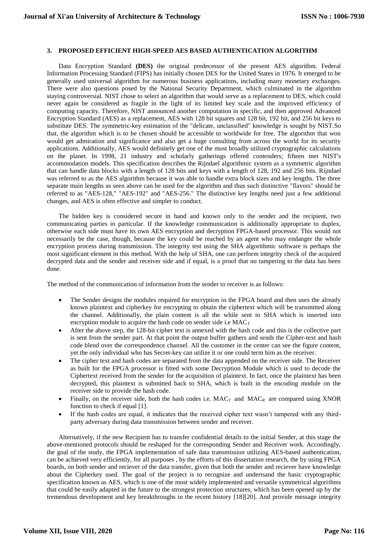#### **3. PROPOSED EFFICIENT HIGH-SPEED AES BASED AUTHENTICATION ALGORITHM**

Data Encryption Standard **(DES)** the original predecessor of the present AES algorithm. Federal Information Processing Standard (FIPS) has initially chosen DES for the United States in 1976. It emerged to be generally used universal algorithm for numerous business applications, including many monetary exchanges. There were also questions posed by the National Security Department, which culminated in the algorithm staying controversial. NIST chose to select an algorithm that would serve as a replacement to DES, which could never again be considered as fragile in the light of its limited key scale and the improved efficiency of computing capacity. Therefore, NIST announced another computation in specific, and then approved Advanced Encryption Standard (AES) as a replacement, AES with 128 bit squares and 128 bit, 192 bit, and 256 bit keys to substitute DES. The symmetric-key estimation of the "delicate, unclassified" knowledge is sought by NIST.So that, the algorithm which is to be chosen should be accessible to worldwide for free. The algorithm that won would get admiration and significance and also get a huge consulting from across the world for its security applications. Additionally, AES would definitely get one of the most broadly utilized cryptographic calculations on the planet. In 1998, 21 industry and scholarly gatherings offered contenders; fifteen met NIST's accommodation models. This specification describes the Rijndael algorithmic system as a symmetric algorithm that can handle data blocks with a length of 128 bits and keys with a length of 128, 192 and 256 bits. Rijndael was referred to as the AES algorithm because it was able to handle extra block sizes and key lengths. The three separate main lengths as seen above can be used for the algorithm and thus such distinctive "flavors" should be referred to as "AES-128," "AES-192" and "AES-256." The distinctive key lengths need just a few additional changes, and AES is often effective and simpler to conduct.

The hidden key is considered secure in hand and known only to the sender and the recipient, two communicating parties in particular. If the knowledge communication is additionally appropriate to duplex, otherwise each side must have its own AES encryption and decryption FPGA-based processor. This would not necessarily be the case, though, because the key could be reached by an agent who may endanger the whole encryption process during transmission. The integrity test using the SHA algorithmic software is perhaps the most significant element in this method. With the help of SHA, one can perform integrity check of the acquired decrypted data and the sender and receiver side and if equal, is a proof that no tampering to the data has been done.

The method of the communication of information from the sender to receiver is as follows:

- The Sender designs the modules required for encryption in the FPGA board and then uses the already known plaintext and cipherkey for encrypting to obtain the ciphertext which will be transmitted along the channel. Additionally, the plain content is all the while sent to SHA which is inserted into encryption module to acquire the hash code on sender side i.e MAC*<sup>T</sup>*
- After the above step, the 128-bit cipher text is annexed with the hash code and this is the collective part is sent from the sender part. At that point the output buffer gathers and sends the Cipher-text and hash code blend over the correspondence channel. All the customer in the center can see the figure content, yet the only individual who has Secret-key can utilize it or one could term him as the receiver.
- The cipher text and hash codes are separated from the data appended on the receiver side. The Receiver as built for the FPGA processor is fitted with some Decryption Module which is used to decode the Ciphertext received from the sender for the acquisition of plaintext. In fact, once the plaintext has been decrypted, this plaintext is submitted back to SHA, which is built in the encoding module on the receiver side to provide the hash code.
- Finally, on the receiver side, both the hash codes i.e.  $MAC<sub>T</sub>$  and  $MAC<sub>R</sub>$  are compared using XNOR function to check if equal [1].
- If the hash codes are equal, it indicates that the received cipher text wasn't tampered with any thirdparty adversary during data transmission between sender and receiver.

Alternatively, if the new Recipient has to transfer confidential details to the initial Sender, at this stage the above-mentioned protocols should be reshaped for the corresponding Sender and Receiver work. Accordingly, the goal of the study, the FPGA implementation of safe data transmission utilizing AES-based authentication, can be achieved very efficiently, for all purposes , by the efforts of this dissertation research, the by using FPGA boards, on both sender and reciever of the data transfer, given that both the sender and reciever have knowledge about the Cipherkey used. The goal of the project is to recognize and undertsand the basic cryptographic specification known as AES, which is one of the most widely implemented and versatile symmetrical algorithms that could be easily adapted in the future to the strongest protection structures, which has been opened up by the tremendous development and key breakthroughs in the recent history [18][20]. And provide message integrity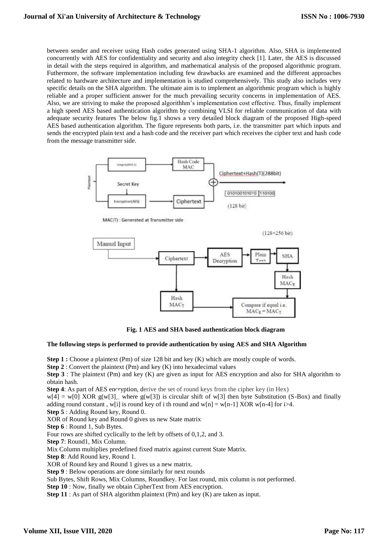between sender and receiver using Hash codes generated using SHA-1 algorithm. Also, SHA is implemented concurrently with AES for confidentiality and security and also integrity check [1]. Later, the AES is discussed in detail with the steps required in algorithm, and mathematical analysis of the proposed algorithmic program. Futhermore, the software implementation including few drawbacks are examined and the different approaches related to hardware architecture and implementation is studied comprehensively. This study also includes very specific details on the SHA algorithm. The ultimate aim is to implement an algorithmic program which is highly reliable and a proper sufficient answer for the much prevailing security concerns in implementation of AES. Also, we are striving to make the proposed algorithhm's implementation cost effective. Thus, finally implement a high speed AES based authentication algorithm by combining VLSI for reliable communication of data with adequate security features The below fig.1 shows a very detailed block diagram of the proposed High-speed AES based authentication algorithm. The figure represents both parts, i.e. the transmitter part which inputs and sends the encrypted plain text and a hash code and the receiver part which receives the cipher text and hash code from the message transmitter side.



MAC(T) : Generated at Transmitter side

 $(128+256 \text{ bit})$ 



**Fig. 1 AES and SHA based authentication block diagram**

## **The following steps is performed to provide authentication by using AES and SHA Algorithm**

**Step 1 :** Choose a plaintext (Pm) of size 128 bit and key (K) which are mostly couple of words.

**Step 2** : Convert the plaintext (Pm) and key (K) into hexadecimal values

**Step 3** : The plaintext (Pm) and key (K) are given as input for AES encryption and also for SHA algorithm to obtain hash.

**Step 4**: As part of AES encryption, derive the set of round keys from the cipher key (in Hex)

 $w[4] = w[0] XOR g(w[3])$ , where  $g(w[3])$  is circular shift of w[3] then byte Substitution (S-Box) and finally adding round constant, w[i] is round key of i th round and w[n] = w[n-1] XOR w[n-4] for i>4.

**Step 5** : Adding Round key, Round 0.

XOR of Round key and Round 0 gives us new State matrix

**Step 6** : Round 1, Sub Bytes.

Four rows are shifted cyclically to the left by offsets of 0,1,2, and 3.

**Step 7**: Round1, Mix Column.

Mix Column multiplies predefined fixed matrix against current State Matrix.

**Step 8**: Add Round key, Round 1.

XOR of Round key and Round 1 gives us a new matrix.

**Step 9** : Below operations are done similarly for next rounds

Sub Bytes, Shift Rows, Mix Columns, Roundkey. For last round, mix column is not performed.

**Step 10** : Now, finally we obtain CipherText from AES encryption.

**Step 11** : As part of SHA algorithm plaintext (Pm) and key (K) are taken as input.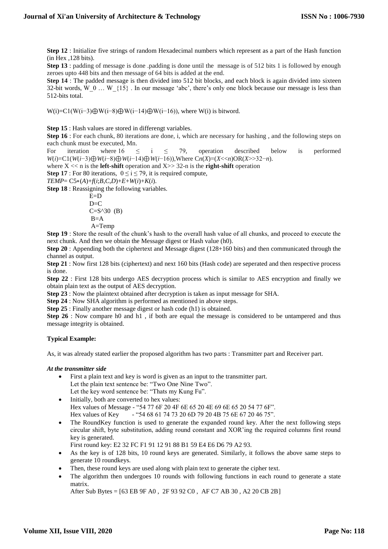**Step 12** : Initialize five strings of random Hexadecimal numbers which represent as a part of the Hash function (in Hex ,128 bits).

**Step 13** : padding of message is done .padding is done until the message is of 512 bits 1 is followed by enough zeroes upto 448 bits and then message of 64 bits is added at the end.

**Step 14** : The padded message is then divided into 512 bit blocks, and each block is again divided into sixteen 32-bit words, W\_0 … W\_{15}. In our message 'abc', there's only one block because our message is less than 512-bits total.

W(i)=C1(W(i–3)⊕W(i–8)⊕W(i–14)⊕W(i–16)), where W(i) is bitword.

**Step 15** : Hash values are stored in differengt variables.

**Step 16** : For each chunk, 80 iterations are done, i, which are necessary for hashing , and the following steps on each chunk must be executed, Mn.

For iteration where  $16 \le i \le 79$ , operation described below is performed *W*(*i*)=C1(*W*(*i*−3)⊕*W*(*i*−8)⊕*W*(*i*−14)⊕*W*(*i*−16)),Where C*n*(*X*)=(*X*<<*n*)OR(*X*>>32−*n*).

where X << n is the **left-shift** operation and X>> 32-n is the **right-shift** operation

**Step 17** : For 80 iterations,  $0 \le i \le 79$ , it is required compute,

*TEMP*= C5∗(*A*)+*f*(*i*;*B*,*C*,*D*)+*E*+*W*(*i*)+*K*(*i*).

**Step 18** : Reassigning the following variables.

$$
E=D
$$
  
D=C  
C=S<sup>30</sup> (B)  
B=A  
A=Temp

**Step 19** : Store the result of the chunk's hash to the overall hash value of all chunks, and proceed to execute the next chunk. And then we obtain the Message digest or Hash value (h0).

**Step 20** : Appending both the ciphertext and Message digest (128+160 bits) and then communicated through the channel as output.

**Step 21** : Now first 128 bits (ciphertext) and next 160 bits (Hash code) are seperated and then respective process is done.

**Step 22** : First 128 bits undergo AES decryption process which is similar to AES encryption and finally we obtain plain text as the output of AES decryption.

**Step 23** : Now the plaintext obtained after decryption is taken as input message for SHA.

**Step 24** : Now SHA algorithm is performed as mentioned in above steps.

**Step 25** : Finally another message digest or hash code (h1) is obtained.

**Step 26** : Now compare h0 and h1, if both are equal the message is considered to be untampered and thus message integrity is obtained.

# **Typical Example:**

As, it was already stated earlier the proposed algorithm has two parts : Transmitter part and Receiver part.

# *At the transmitter side*

- First a plain text and key is word is given as an input to the transmitter part. Let the plain text sentence be: "Two One Nine Two". Let the key word sentence be: "Thats my Kung Fu".
- Initially, both are converted to hex values: Hex values of Message - "54 77 6F 20 4F 6E 65 20 4E 69 6E 65 20 54 77 6F". Hex values of Key - "54 68 61 74 73 20 6D 79 20 4B 75 6E 67 20 46 75".
- The RoundKey function is used to generate the expanded round key. After the next following steps circular shift, byte substitution, adding round constant and XOR'ing the required columns first round key is generated.

First round key: E2 32 FC F1 91 12 91 88 B1 59 E4 E6 D6 79 A2 93.

- As the key is of 128 bits, 10 round keys are generated. Similarly, it follows the above same steps to generate 10 roundkeys.
- Then, these round keys are used along with plain text to generate the cipher text.
- The algorithm then undergoes 10 rounds with following functions in each round to generate a state matrix.

After Sub Bytes = [63 EB 9F A0 , 2F 93 92 C0 , AF C7 AB 30 , A2 20 CB 2B]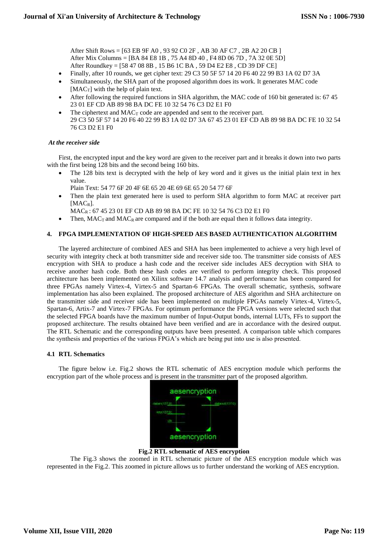After Shift Rows = [63 EB 9F A0 , 93 92 C0 2F , AB 30 AF C7 , 2B A2 20 CB ] After Mix Columns = [BA 84 E8 1B , 75 A4 8D 40 , F4 8D 06 7D , 7A 32 0E 5D] After Roundkey = [58 47 08 8B , 15 B6 1C BA , 59 D4 E2 E8 , CD 39 DF CE]

- Finally, after 10 rounds, we get cipher text: 29 C3 50 5F 57 14 20 F6 40 22 99 B3 1A 02 D7 3A
- Simultaneously, the SHA part of the proposed algorithm does its work. It generates MAC code  $[MAC_T]$  with the help of plain text.
- After following the required functions in SHA algorithm, the MAC code of 160 bit generated is: 67 45 23 01 EF CD AB 89 98 BA DC FE 10 32 54 76 C3 D2 E1 F0
- The ciphertext and  $MAC<sub>T</sub>$  code are appended and sent to the receiver part. 29 C3 50 5F 57 14 20 F6 40 22 99 B3 1A 02 D7 3A 67 45 23 01 EF CD AB 89 98 BA DC FE 10 32 54 76 C3 D2 E1 F0

# *At the receiver side*

First, the encrypted input and the key word are given to the receiver part and it breaks it down into two parts with the first being 128 bits and the second being 160 bits.

• The 128 bits text is decrypted with the help of key word and it gives us the initial plain text in hex value.

Plain Text: 54 77 6F 20 4F 6E 65 20 4E 69 6E 65 20 54 77 6F

 Then the plain text generated here is used to perform SHA algorithm to form MAC at receiver part [MACR].

MACR : 67 45 23 01 EF CD AB 89 98 BA DC FE 10 32 54 76 C3 D2 E1 F0

Then,  $MAC<sub>T</sub>$  and  $MAC<sub>R</sub>$  are compared and if the both are equal then it follows data integrity.

# **4. FPGA IMPLEMENTATION OF HIGH-SPEED AES BASED AUTHENTICATION ALGORITHM**

The layered architecture of combined AES and SHA has been implemented to achieve a very high level of security with integrity check at both transmitter side and receiver side too. The transmitter side consists of AES encryption with SHA to produce a hash code and the receiver side includes AES decryption with SHA to receive another hash code. Both these hash codes are verified to perform integrity check. This proposed architecture has been implemented on Xilinx software 14.7 analysis and performance has been compared for three FPGAs namely Virtex-4, Virtex-5 and Spartan-6 FPGAs. The overall schematic, synthesis, software implementation has also been explained. The proposed architecture of AES algorithm and SHA architecture on the transmitter side and receiver side has been implemented on multiple FPGAs namely Virtex-4, Virtex-5, Spartan-6, Artix-7 and Virtex-7 FPGAs. For optimum performance the FPGA versions were selected such that the selected FPGA boards have the maximum number of Input-Output bonds, internal LUTs, FFs to support the proposed architecture. The results obtained have been verified and are in accordance with the desired output. The RTL Schematic and the corresponding outputs have been presented. A comparison table which compares the synthesis and properties of the various FPGA's which are being put into use is also presented.

# **4.1 RTL Schematics**

The figure below i.e. Fig.2 shows the RTL schematic of AES encryption module which performs the encryption part of the whole process and is present in the transmitter part of the proposed algorithm.



**Fig.2 RTL schematic of AES encryption**

The Fig.3 shows the zoomed in RTL schematic picture of the AES encryption module which was represented in the Fig.2. This zoomed in picture allows us to further understand the working of AES encryption.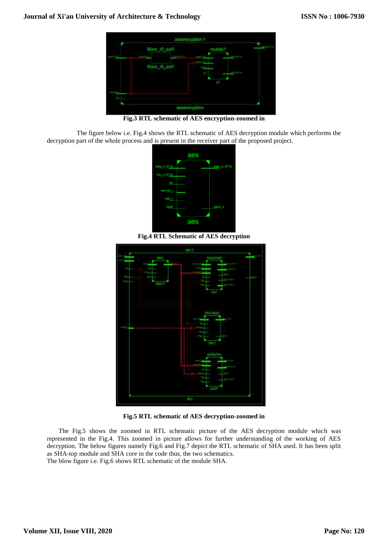

**Fig.3 RTL schematic of AES encryption-zoomed in**

The figure below i.e. Fig.4 shows the RTL schematic of AES decryption module which performs the decryption part of the whole process and is present in the receiver part of the proposed project.



**Fig.4 RTL Schematic of AES decryption**



**Fig.5 RTL schematic of AES decryption-zoomed in**

The Fig.5 shows the zoomed in RTL schematic picture of the AES decryption module which was represented in the Fig.4. This zoomed in picture allows for further understanding of the working of AES decryption. The below figures namely Fig.6 and Fig.7 depict the RTL schematic of SHA used. It has been split as SHA-top module and SHA core in the code thus, the two schematics.

The blow figure i.e. Fig.6 shows RTL schematic of the module SHA.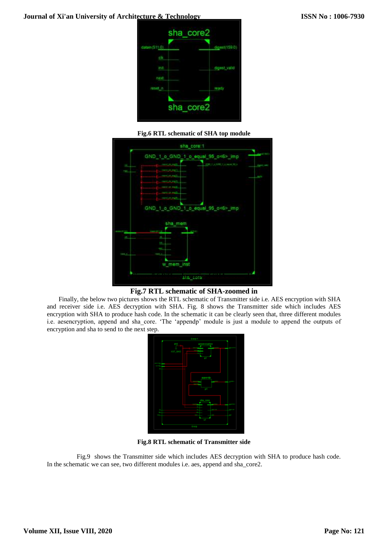







Finally, the below two pictures shows the RTL schematic of Transmitter side i.e. AES encryption with SHA and receiver side i.e. AES decryption with SHA. Fig. 8 shows the Transmitter side which includes AES encryption with SHA to produce hash code. In the schematic it can be clearly seen that, three different modules i.e. aesencryption, append and sha\_core. 'The 'appendp' module is just a module to append the outputs of encryption and sha to send to the next step.



**Fig.8 RTL schematic of Transmitter side**

Fig.9 shows the Transmitter side which includes AES decryption with SHA to produce hash code. In the schematic we can see, two different modules i.e. aes, append and sha\_core2.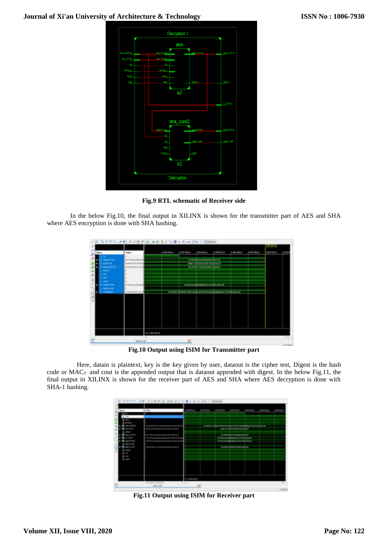

**Fig.9 RTL schematic of Receiver side**

In the below Fig.10, the final output in XILINX is shown for the transmitter part of AES and SHA where AES encryption is done with SHA hashing.



**Fig.10 Output using ISIM for Transmitter part**

Here, datain is plaintext, key is the key given by user, dataout is the cipher test, Digest is the hash code or MAC*T* and cout is the appended output that is dataout appended with digest. In the below Fig.11, the final output in XILINX is shown for the receiver part of AES and SHA where AES decryption is done with SHA-1 hashing.



**Fig.11 Output using ISIM for Receiver part**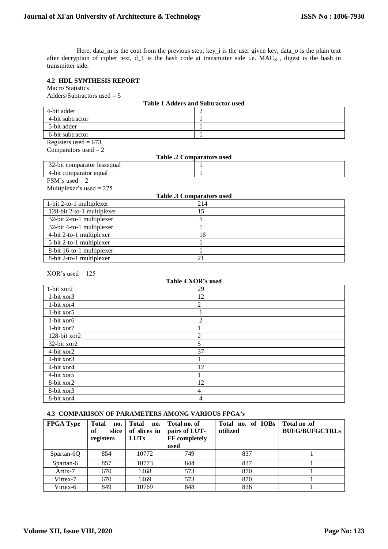Here, data\_in is the cout from the previous step, key\_i is the user given key, data\_o is the plain text after decryption of cipher text, d\_1 is the hash code at transmitter side i.e. MACR, digest is the hash in transmitter side.

# **4.2 HDL SYNTHESIS REPORT**

Macro Statistics

Adders/Subtractors used = 5

| <b>Table 1 Adders and Subtractor used</b> |                 |  |  |  |  |
|-------------------------------------------|-----------------|--|--|--|--|
| 4-bit adder                               |                 |  |  |  |  |
| 4-bit subtractor                          | $\mathbf{1}$    |  |  |  |  |
| 5-bit adder                               | $\mathbf{1}$    |  |  |  |  |
| 6-bit subtractor                          | 1               |  |  |  |  |
| Registers used = $673$                    |                 |  |  |  |  |
| Comparators used $= 2$                    |                 |  |  |  |  |
| <b>Table .2 Comparators used</b>          |                 |  |  |  |  |
| 32-bit comparator lessequal               | 1               |  |  |  |  |
| 4-bit comparator equal                    | $\mathbf{1}$    |  |  |  |  |
| FSM's used = $2$                          |                 |  |  |  |  |
| Multiplexer's used = $275$                |                 |  |  |  |  |
| <b>Table .3 Comparators used</b>          |                 |  |  |  |  |
| 1-bit 2-to-1 multiplexer                  | 214             |  |  |  |  |
| 128-bit 2-to-1 multiplexer                | 15              |  |  |  |  |
| 32-bit 2-to-1 multiplexer                 | $\overline{5}$  |  |  |  |  |
| 32-bit 4-to-1 multiplexer                 | $\mathbf{1}$    |  |  |  |  |
| 4-bit 2-to-1 multiplexer                  | 16              |  |  |  |  |
| 5-bit 2-to-1 multiplexer                  | $\mathbf{1}$    |  |  |  |  |
| 8-bit 16-to-1 multiplexer                 | $\mathbf{1}$    |  |  |  |  |
| 8-bit 2-to-1 multiplexer                  | 21              |  |  |  |  |
|                                           |                 |  |  |  |  |
| $XOR's used = 125$                        |                 |  |  |  |  |
| Table 4 XOR's used                        |                 |  |  |  |  |
| 1-bit xor2                                | 29              |  |  |  |  |
| 1-bit xor3                                | 12              |  |  |  |  |
| 1-bit xor4                                | $\overline{2}$  |  |  |  |  |
| 1-bit xor5                                | $\mathbf{1}$    |  |  |  |  |
| 1-bit xor6                                | $\overline{2}$  |  |  |  |  |
| 1-bit xor7                                | $\mathbf{1}$    |  |  |  |  |
| 128-bit xor2                              | $\overline{2}$  |  |  |  |  |
| 32-bit xor2                               | $\overline{5}$  |  |  |  |  |
| 4-bit xor2                                | $\overline{37}$ |  |  |  |  |
| 4-bit xor3                                | $\mathbf{1}$    |  |  |  |  |
| $\overline{4}$ -bit xor4                  | 12              |  |  |  |  |
| 4-bit xor5                                | $\mathbf{1}$    |  |  |  |  |
| 8-bit xor2                                | 12              |  |  |  |  |
| 8-bit xor3                                | $\overline{4}$  |  |  |  |  |
| 8-bit xor4                                | $\overline{4}$  |  |  |  |  |
|                                           |                 |  |  |  |  |

# **4.3 COMPARISON OF PARAMETERS AMONG VARIOUS FPGA's**

| <b>FPGA Type</b> | <b>Total</b><br>no.<br>slice<br>of<br>registers | Total<br>no.<br>of slices in<br><b>LUTs</b> | Total no. of<br>pairs of LUT-<br>FF completely<br>used | Total no. of IOBs<br>utilized | Total no .of<br><b>BUFG/BUFGCTRLs</b> |
|------------------|-------------------------------------------------|---------------------------------------------|--------------------------------------------------------|-------------------------------|---------------------------------------|
| Spartan-6Q       | 854                                             | 10772                                       | 749                                                    | 837                           |                                       |
| Spartan-6        | 857                                             | 10773                                       | 844                                                    | 837                           |                                       |
| Artix-7          | 670                                             | 1468                                        | 573                                                    | 870                           |                                       |
| Virtex-7         | 670                                             | 1469                                        | 573                                                    | 870                           |                                       |
| Virtex-6         | 849                                             | 10769                                       | 848                                                    | 836                           |                                       |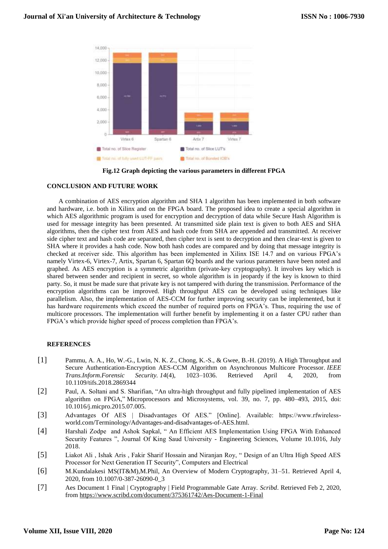

**Fig.12 Graph depicting the various parameters in different FPGA**

## **CONCLUSION AND FUTURE WORK**

A combination of AES encryption algorithm and SHA 1 algorithm has been implemented in both software and hardware, i.e. both in Xilinx and on the FPGA board. The proposed idea to create a special algorithm in which AES algorithmic program is used for encryption and decryption of data while Secure Hash Algorithm is used for message integrity has been presented. At transmitted side plain text is given to both AES and SHA algorithms, then the cipher text from AES and hash code from SHA are appended and transmitted. At receiver side cipher text and hash code are separated, then cipher text is sent to decryption and then clear-text is given to SHA where it provides a hash code. Now both hash codes are compared and by doing that message integrity is checked at receiver side. This algorithm has been implemented in Xilinx ISE 14.7 and on various FPGA's namely Virtex-6, Virtex-7, Artix, Spartan 6, Spartan 6Q boards and the various parameters have been noted and graphed. As AES encryption is a symmetric algorithm (private-key cryptography). It involves key which is shared between sender and recipient in secret, so whole algorithm is in jeopardy if the key is known to third party. So, it must be made sure that private key is not tampered with during the transmission. Performance of the encryption algorithms can be improved. High throughput AES can be developed using techniques like parallelism. Also, the implementation of AES-CCM for further improving security can be implemented, but it has hardware requirements which exceed the number of required ports on FPGA's. Thus, requiring the use of multicore processors. The implementation will further benefit by implementing it on a faster CPU rather than FPGA's which provide higher speed of process completion than FPGA's.

#### **REFERENCES**

- [1] Pammu, A. A., Ho, W.-G., Lwin, N. K. Z., Chong, K.-S., & Gwee, B.-H. (2019). A High Throughput and Secure Authentication-Encryption AES-CCM Algorithm on Asynchronous Multicore Processor. *IEEE Trans.Inform.Forensic Security. 14*(4), 1023–1036. Retrieved April 4, 2020, from 10.1109/tifs.2018.2869344
- [2] Paul, A. Soltani and S. Sharifian, "An ultra-high throughput and fully pipelined implementation of AES algorithm on FPGA," Microprocessors and Microsystems, vol. 39, no. 7, pp. 480–493, 2015, doi: 10.1016/j.micpro.2015.07.005.
- [3] Advantages Of AES | Disadvantages Of AES." [Online]. Available: https://www.rfwirelessworld.com/Terminology/Advantages-and-disadvantages-of-AES.html.
- [4] Harshali Zodpe and Ashok Sapkal, " An Efficient AES Implementation Using FPGA With Enhanced Security Features ", Journal Of King Saud University - Engineering Sciences, Volume 10.1016, July 2018.
- [5] Liakot Ali , Ishak Aris , Fakir Sharif Hossain and Niranjan Roy, " Design of an Ultra High Speed AES Processor for Next Generation IT Security", Computers and Electrical
- [6] M.Kundalakesi MS(IT&M),M.Phil, An Overview of Modern Cryptography, 31–51. Retrieved April 4, 2020, from 10.1007/0-387-26090-0\_3
- [7] Aes Document 1 Final | Cryptography | Field Programmable Gate Array. *Scribd*. Retrieved Feb 2, 2020, from<https://www.scribd.com/document/375361742/Aes-Document-1-Final>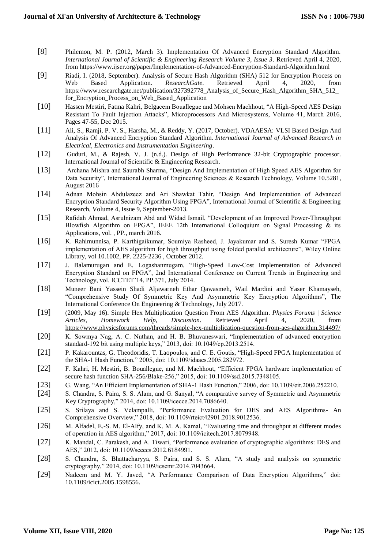- [8] Philemon, M. P. (2012, March 3). Implementation Of Advanced Encryption Standard Algorithm. *International Journal of Scientific & Engineering Research Volume 3, Issue 3*. Retrieved April 4, 2020, from<https://www.ijser.org/paper/Implementation-of-Advanced-Encryption-Standard-Algorithm.html>
- [9] Riadi, I. (2018, September). Analysis of Secure Hash Algorithm (SHA) 512 for Encryption Process on Web Based Application. *ResearchGate*. Retrieved April 4, 2020, from  $ResearchGate.$ https://www.researchgate.net/publication/327392778\_Analysis\_of\_Secure\_Hash\_Algorithm\_SHA\_512\_ for\_Encryption\_Process\_on\_Web\_Based\_Application
- [10] Hassen Mestiri, Fatma Kahri, Belgacem Bouallegue and Mohsen Machhout, "A High-Speed AES Design Resistant To Fault Injection Attacks", Microprocessors And Microsystems, Volume 41, March 2016, Pages 47-55, Dec 2015.
- [11] Ali, S., Ramji, P. V. S., Harsha, M., & Reddy, Y. (2017, October). VDAAESA: VLSI Based Design And Analysis Of Advanced Encryption Standard Algorithm. *International Journal of Advanced Research in Electrical, Electronics and Instrumentation Engineering*.
- [12] Guduri, M., & Rajesh, V. J. (n.d.). Design of High Performance 32-bit Cryptographic processor. International Journal of Scientific & Engineering Research.
- [13] Archana Mishra and Saurabh Sharma, "Design And Implementation of High Speed AES Algorithm for Data Security", International Journal of Engineering Sciences & Research Technology, Volume 10.5281, August 2016
- [14] Adnan Mohsin Abdulazeez and Ari Shawkat Tahir, "Design And Implementation of Advanced Encryption Standard Security Algorithm Using FPGA", International Journal of Scientific & Engineering Research, Volume 4, Issue 9, September-2013.
- [15] Rafidah Ahmad, Asrulnizam Abd and Widad Ismail, "Development of an Improved Power-Throughput Blowfish Algorithm on FPGA", IEEE 12th International Colloquium on Signal Processing & its Applications, vol. , PP., march 2016.
- [16] K. Rahimunnisa, P. Karthigaikumar, Soumiya Rasheed, J. Jayakumar and S. Suresh Kumar "FPGA implementation of AES algorithm for high throughput using folded parallel architecture", Wiley Online Library, vol 10.1002, PP. 2225-2236 , October 2012.
- [17] J. Balamurugan and E. Logashanmugam, "High-Speed Low-Cost Implementation of Advanced Encryption Standard on FPGA", 2nd International Conference on Current Trends in Engineering and Technology, vol. ICCTET'14, PP.371, July 2014.
- [18] Muneer Bani Yassein Shadi Aljawarneh Ethar Qawasmeh, Wail Mardini and Yaser Khamayseh, "Comprehensive Study Of Symmetric Key And Asymmetric Key Encryption Algorithms", The International Conference On Engineering & Technology, July 2017.
- [19] (2009, May 16). Simple Hex Multiplication Question From AES Algorithm. *Physics Forums | Science Articles, Homework Help, Discussion*. Retrieved April 4, 2020, from <https://www.physicsforums.com/threads/simple-hex-multiplication-question-from-aes-algorithm.314497/>
- [20] K. Sowmya Nag, A. C. Nuthan, and H. B. Bhuvaneswari, "Implementation of advanced encryption standard-192 bit using multiple keys," 2013, doi: 10.1049/cp.2013.2514.
- [21] P. Kakarountas, G. Theodoridis, T. Laopoulos, and C. E. Goutis, "High-Speed FPGA Implementation of the SHA-1 Hash Function," 2005, doi: 10.1109/idaacs.2005.282972.
- [22] F. Kahri, H. Mestiri, B. Bouallegue, and M. Machhout, "Efficient FPGA hardware implementation of secure hash function SHA-256/Blake-256," 2015, doi: 10.1109/ssd.2015.7348105.
- [23] G. Wang, "An Efficient Implementation of SHA-1 Hash Function," 2006, doi: 10.1109/eit.2006.252210.
- [24] S. Chandra, S. Paira, S. S. Alam, and G. Sanyal, "A comparative survey of Symmetric and Asymmetric Key Cryptography," 2014, doi: 10.1109/icecce.2014.7086640.
- [25] S. Srilaya and S. Velampalli, "Performance Evaluation for DES and AES Algorithms- An Comprehensive Overview," 2018, doi: 10.1109/rteict42901.2018.9012536.
- [26] M. Alfadel, E.-S. M. El-Alfy, and K. M. A. Kamal, "Evaluating time and throughput at different modes of operation in AES algorithm," 2017, doi: 10.1109/icitech.2017.8079948.
- [27] K. Mandal, C. Parakash, and A. Tiwari, "Performance evaluation of cryptographic algorithms: DES and AES," 2012, doi: 10.1109/sceecs.2012.6184991.
- [28] S. Chandra, S. Bhattacharyya, S. Paira, and S. S. Alam, "A study and analysis on symmetric cryptography," 2014, doi: 10.1109/icsemr.2014.7043664.
- [29] Nadeem and M. Y. Javed, "A Performance Comparison of Data Encryption Algorithms," doi: 10.1109/icict.2005.1598556.